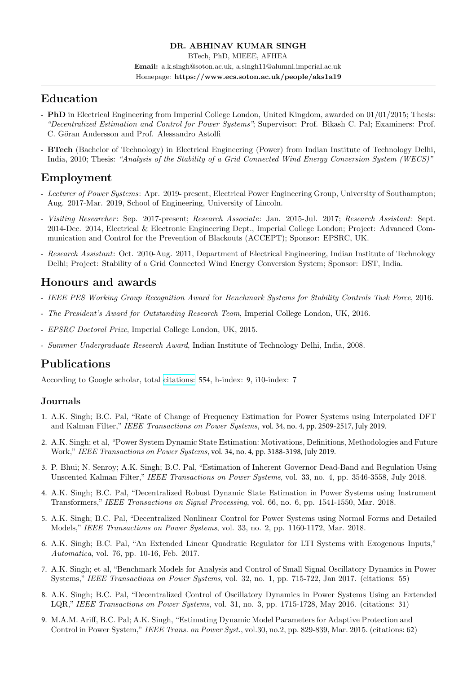#### DR. ABHINAV KUMAR SINGH

BTech, PhD, MIEEE, AFHEA Email: a.k.singh@soton.ac.uk, a.singh11@alumni.imperial.ac.uk Homepage: https://www.ecs.soton.ac.uk/people/aks1a19

## Education

- PhD in Electrical Engineering from Imperial College London, United Kingdom, awarded on 01/01/2015; Thesis: *"Decentralized Estimation and Control for Power Systems"*; Supervisor: Prof. Bikash C. Pal; Examiners: Prof. C. Göran Andersson and Prof. Alessandro Astolfi
- BTech (Bachelor of Technology) in Electrical Engineering (Power) from Indian Institute of Technology Delhi, India, 2010; Thesis: *"Analysis of the Stability of a Grid Connected Wind Energy Conversion System (WECS)"*

# Employment

- *Lecturer of Power Systems*: Apr. 2019- present, Electrical Power Engineering Group, University of Southampton; Aug. 2017-Mar. 2019, School of Engineering, University of Lincoln.
- *Visiting Researcher* : Sep. 2017-present; *Research Associate*: Jan. 2015-Jul. 2017; *Research Assistant*: Sept. 2014-Dec. 2014, Electrical & Electronic Engineering Dept., Imperial College London; Project: Advanced Communication and Control for the Prevention of Blackouts (ACCEPT); Sponsor: EPSRC, UK.
- *Research Assistant*: Oct. 2010-Aug. 2011, Department of Electrical Engineering, Indian Institute of Technology Delhi; Project: Stability of a Grid Connected Wind Energy Conversion System; Sponsor: DST, India.

# Honours and awards

- *IEEE PES Working Group Recognition Award* for *Benchmark Systems for Stability Controls Task Force*, 2016.
- *The President's Award for Outstanding Research Team*, Imperial College London, UK, 2016.
- *EPSRC Doctoral Prize*, Imperial College London, UK, 2015.
- *Summer Undergraduate Research Award*, Indian Institute of Technology Delhi, India, 2008.

# Publications

According to Google scholar, total [citations:](https://scholar.google.co.uk/citations?user=tkp3t2gAAAAJ&hl=en) 554, h-index: 9, i10-index: 7

## Journals

- 1. A.K. Singh; B.C. Pal, "Rate of Change of Frequency Estimation for Power Systems using Interpolated DFT and Kalman Filter," *IEEE Transactions on Power Systems*, vol. 34, no. 4, pp. 2509-2517, July 2019.
- 2. A.K. Singh; et al, "Power System Dynamic State Estimation: Motivations, Definitions, Methodologies and Future Work," *IEEE Transactions on Power Systems*, vol. 34, no. 4, pp. 3188-3198, July 2019.
- 3. P. Bhui; N. Senroy; A.K. Singh; B.C. Pal, "Estimation of Inherent Governor Dead-Band and Regulation Using Unscented Kalman Filter," *IEEE Transactions on Power Systems*, vol. 33, no. 4, pp. 3546-3558, July 2018.
- 4. A.K. Singh; B.C. Pal, "Decentralized Robust Dynamic State Estimation in Power Systems using Instrument Transformers," *IEEE Transactions on Signal Processing*, vol. 66, no. 6, pp. 1541-1550, Mar. 2018.
- 5. A.K. Singh; B.C. Pal, "Decentralized Nonlinear Control for Power Systems using Normal Forms and Detailed Models," *IEEE Transactions on Power Systems*, vol. 33, no. 2, pp. 1160-1172, Mar. 2018.
- 6. A.K. Singh; B.C. Pal, "An Extended Linear Quadratic Regulator for LTI Systems with Exogenous Inputs," *Automatica*, vol. 76, pp. 10-16, Feb. 2017.
- 7. A.K. Singh; et al, "Benchmark Models for Analysis and Control of Small Signal Oscillatory Dynamics in Power Systems," *IEEE Transactions on Power Systems*, vol. 32, no. 1, pp. 715-722, Jan 2017. (citations: 55)
- 8. A.K. Singh; B.C. Pal, "Decentralized Control of Oscillatory Dynamics in Power Systems Using an Extended LQR," *IEEE Transactions on Power Systems*, vol. 31, no. 3, pp. 1715-1728, May 2016. (citations: 31)
- 9. M.A.M. Ariff, B.C. Pal; A.K. Singh, "Estimating Dynamic Model Parameters for Adaptive Protection and Control in Power System," *IEEE Trans. on Power Syst.*, vol.30, no.2, pp. 829-839, Mar. 2015. (citations: 62)